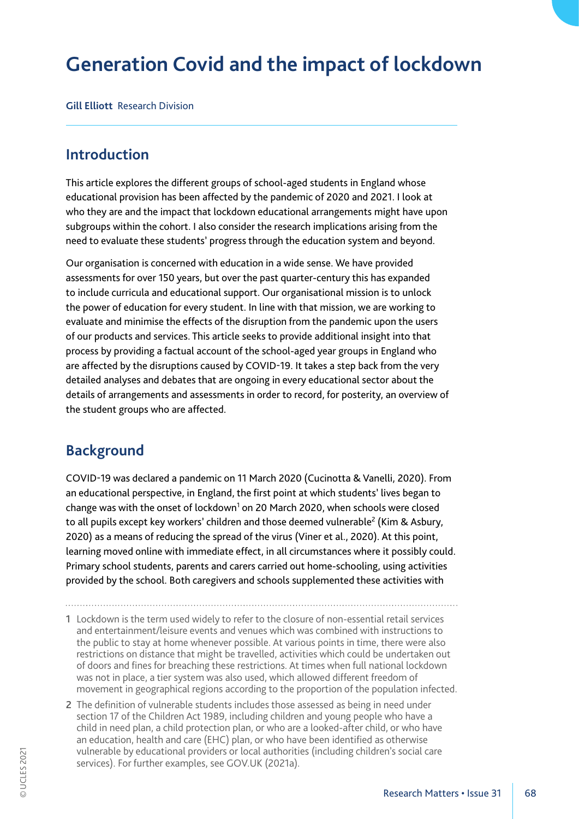# **Generation Covid and the impact of lockdown**

**Gill Elliott** Research Division

#### **Introduction**

This article explores the different groups of school-aged students in England whose educational provision has been affected by the pandemic of 2020 and 2021. I look at who they are and the impact that lockdown educational arrangements might have upon subgroups within the cohort. I also consider the research implications arising from the need to evaluate these students' progress through the education system and beyond.

Our organisation is concerned with education in a wide sense. We have provided assessments for over 150 years, but over the past quarter-century this has expanded to include curricula and educational support. Our organisational mission is to unlock the power of education for every student. In line with that mission, we are working to evaluate and minimise the effects of the disruption from the pandemic upon the users of our products and services. This article seeks to provide additional insight into that process by providing a factual account of the school-aged year groups in England who are affected by the disruptions caused by COVID-19. It takes a step back from the very detailed analyses and debates that are ongoing in every educational sector about the details of arrangements and assessments in order to record, for posterity, an overview of the student groups who are affected.

#### **Background**

COVID-19 was declared a pandemic on 11 March 2020 (Cucinotta & Vanelli, 2020). From an educational perspective, in England, the first point at which students' lives began to change was with the onset of lockdown<sup>1</sup> on 20 March 2020, when schools were closed to all pupils except key workers' children and those deemed vulnerable<sup>2</sup> (Kim & Asbury, 2020) as a means of reducing the spread of the virus (Viner et al., 2020). At this point, learning moved online with immediate effect, in all circumstances where it possibly could. Primary school students, parents and carers carried out home-schooling, using activities provided by the school. Both caregivers and schools supplemented these activities with

1 Lockdown is the term used widely to refer to the closure of non-essential retail services and entertainment/leisure events and venues which was combined with instructions to the public to stay at home whenever possible. At various points in time, there were also restrictions on distance that might be travelled, activities which could be undertaken out of doors and fines for breaching these restrictions. At times when full national lockdown was not in place, a tier system was also used, which allowed different freedom of movement in geographical regions according to the proportion of the population infected.

2 The definition of vulnerable students includes those assessed as being in need under section 17 of the Children Act 1989, including children and young people who have a child in need plan, a child protection plan, or who are a looked-after child, or who have an education, health and care (EHC) plan, or who have been identified as otherwise vulnerable by educational providers or local authorities (including children's social care services). For further examples, see GOV.UK (2021a).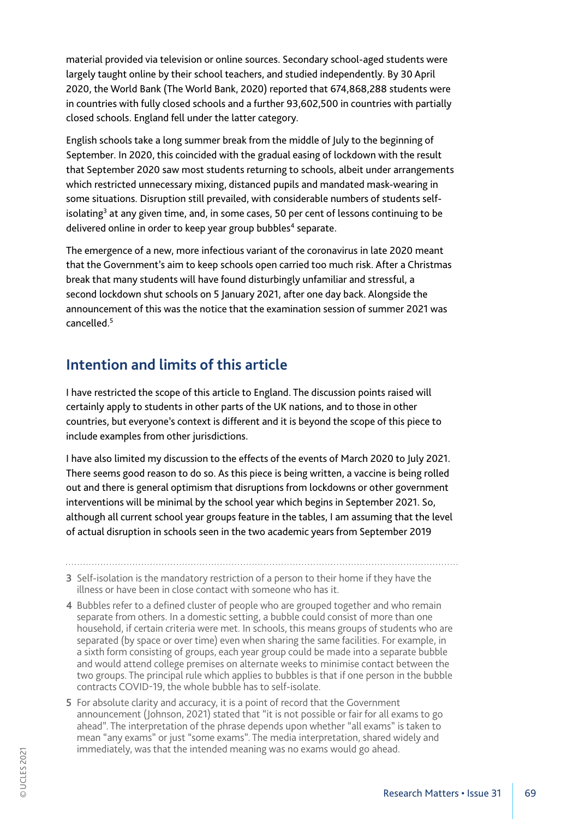material provided via television or online sources. Secondary school-aged students were largely taught online by their school teachers, and studied independently. By 30 April 2020, the World Bank (The World Bank, 2020) reported that 674,868,288 students were in countries with fully closed schools and a further 93,602,500 in countries with partially closed schools. England fell under the latter category.

English schools take a long summer break from the middle of July to the beginning of September. In 2020, this coincided with the gradual easing of lockdown with the result that September 2020 saw most students returning to schools, albeit under arrangements which restricted unnecessary mixing, distanced pupils and mandated mask-wearing in some situations. Disruption still prevailed, with considerable numbers of students selfisolating<sup>3</sup> at any given time, and, in some cases, 50 per cent of lessons continuing to be delivered online in order to keep year group bubbles $^{\rm 4}$  separate.

The emergence of a new, more infectious variant of the coronavirus in late 2020 meant that the Government's aim to keep schools open carried too much risk. After a Christmas break that many students will have found disturbingly unfamiliar and stressful, a second lockdown shut schools on 5 January 2021, after one day back. Alongside the announcement of this was the notice that the examination session of summer 2021 was cancelled. $5$ 

### **Intention and limits of this article**

I have restricted the scope of this article to England. The discussion points raised will certainly apply to students in other parts of the UK nations, and to those in other countries, but everyone's context is different and it is beyond the scope of this piece to include examples from other jurisdictions.

I have also limited my discussion to the effects of the events of March 2020 to July 2021. There seems good reason to do so. As this piece is being written, a vaccine is being rolled out and there is general optimism that disruptions from lockdowns or other government interventions will be minimal by the school year which begins in September 2021. So, although all current school year groups feature in the tables, I am assuming that the level of actual disruption in schools seen in the two academic years from September 2019

3 Self-isolation is the mandatory restriction of a person to their home if they have the illness or have been in close contact with someone who has it.

- 4 Bubbles refer to a defined cluster of people who are grouped together and who remain separate from others. In a domestic setting, a bubble could consist of more than one household, if certain criteria were met. In schools, this means groups of students who are separated (by space or over time) even when sharing the same facilities. For example, in a sixth form consisting of groups, each year group could be made into a separate bubble and would attend college premises on alternate weeks to minimise contact between the two groups. The principal rule which applies to bubbles is that if one person in the bubble contracts COVID-19, the whole bubble has to self-isolate.
- 5 For absolute clarity and accuracy, it is a point of record that the Government announcement (Johnson, 2021) stated that "it is not possible or fair for all exams to go ahead". The interpretation of the phrase depends upon whether "all exams" is taken to mean "any exams" or just "some exams". The media interpretation, shared widely and immediately, was that the intended meaning was no exams would go ahead.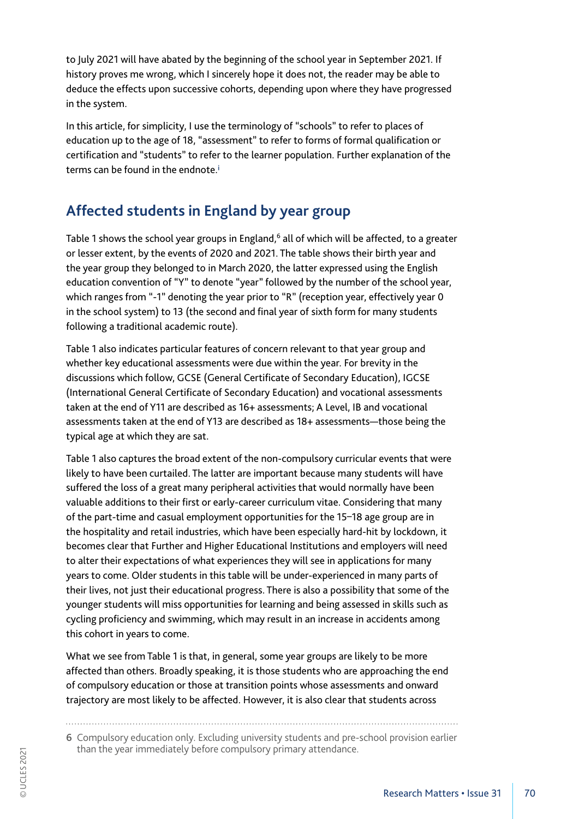to July 2021 will have abated by the beginning of the school year in September 2021. If history proves me wrong, which I sincerely hope it does not, the reader may be able to deduce the effects upon successive cohorts, depending upon where they have progressed in the system.

In this article, for simplicity, I use the terminology of "schools" to refer to places of education up to the age of 18, "assessment" to refer to forms of formal qualification or certification and "students" to refer to the learner population. Further explanation of the terms can be found in the endnote.i

# **Affected students in England by year group**

Table 1 shows the school year groups in England,<sup>6</sup> all of which will be affected, to a greater or lesser extent, by the events of 2020 and 2021. The table shows their birth year and the year group they belonged to in March 2020, the latter expressed using the English education convention of "Y" to denote "year" followed by the number of the school year, which ranges from "-1" denoting the year prior to "R" (reception year, effectively year 0 in the school system) to 13 (the second and final year of sixth form for many students following a traditional academic route).

Table 1 also indicates particular features of concern relevant to that year group and whether key educational assessments were due within the year. For brevity in the discussions which follow, GCSE (General Certificate of Secondary Education), IGCSE (International General Certificate of Secondary Education) and vocational assessments taken at the end of Y11 are described as 16+ assessments; A Level, IB and vocational assessments taken at the end of Y13 are described as 18+ assessments—those being the typical age at which they are sat.

Table 1 also captures the broad extent of the non-compulsory curricular events that were likely to have been curtailed. The latter are important because many students will have suffered the loss of a great many peripheral activities that would normally have been valuable additions to their first or early-career curriculum vitae. Considering that many of the part-time and casual employment opportunities for the 15–18 age group are in the hospitality and retail industries, which have been especially hard-hit by lockdown, it becomes clear that Further and Higher Educational Institutions and employers will need to alter their expectations of what experiences they will see in applications for many years to come. Older students in this table will be under-experienced in many parts of their lives, not just their educational progress. There is also a possibility that some of the younger students will miss opportunities for learning and being assessed in skills such as cycling proficiency and swimming, which may result in an increase in accidents among this cohort in years to come.

What we see from Table 1 is that, in general, some year groups are likely to be more affected than others. Broadly speaking, it is those students who are approaching the end of compulsory education or those at transition points whose assessments and onward trajectory are most likely to be affected. However, it is also clear that students across

6 Compulsory education only. Excluding university students and pre-school provision earlier than the year immediately before compulsory primary attendance.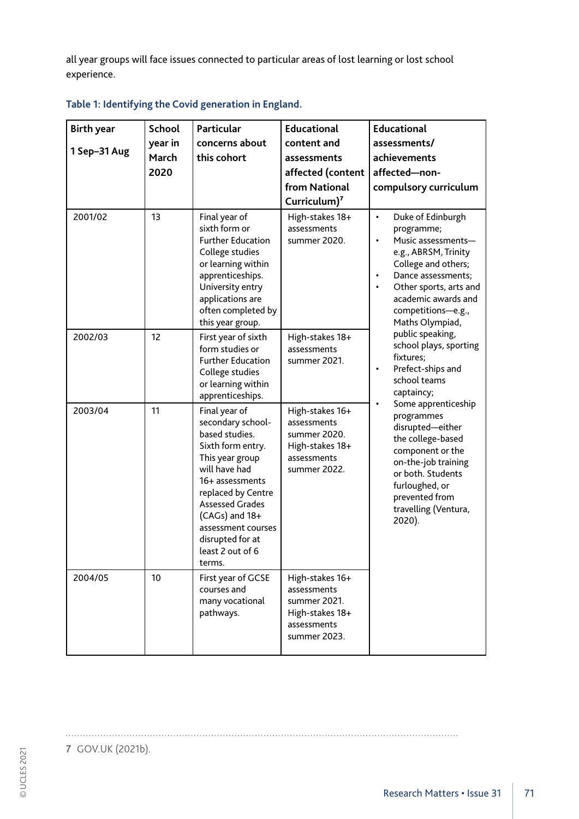all year groups will face issues connected to particular areas of lost learning or lost school experience.

| <b>Birth year</b> | <b>School</b> | <b>Particular</b>                                                                                                                                                                                                                                                          | <b>Educational</b>                                                                               | <b>Educational</b>                                                                                                                                                                                                                                                                                                             |  |
|-------------------|---------------|----------------------------------------------------------------------------------------------------------------------------------------------------------------------------------------------------------------------------------------------------------------------------|--------------------------------------------------------------------------------------------------|--------------------------------------------------------------------------------------------------------------------------------------------------------------------------------------------------------------------------------------------------------------------------------------------------------------------------------|--|
|                   | year in       | concerns about                                                                                                                                                                                                                                                             | content and                                                                                      | assessments/                                                                                                                                                                                                                                                                                                                   |  |
| 1 Sep-31 Aug      | March         | this cohort                                                                                                                                                                                                                                                                | assessments                                                                                      | achievements                                                                                                                                                                                                                                                                                                                   |  |
|                   | 2020          |                                                                                                                                                                                                                                                                            | affected (content                                                                                | affected-non-                                                                                                                                                                                                                                                                                                                  |  |
|                   |               |                                                                                                                                                                                                                                                                            | from National                                                                                    | compulsory curriculum                                                                                                                                                                                                                                                                                                          |  |
|                   |               |                                                                                                                                                                                                                                                                            | Curriculum) <sup>7</sup>                                                                         |                                                                                                                                                                                                                                                                                                                                |  |
| 2001/02           | 13            | Final year of<br>sixth form or<br><b>Further Education</b><br>College studies<br>or learning within<br>apprenticeships.<br>University entry<br>applications are<br>often completed by<br>this year group.                                                                  | High-stakes 18+<br>assessments<br>summer 2020.                                                   | Duke of Edinburgh<br>$\bullet$<br>programme;<br>Music assessments-<br>$\bullet$<br>e.g., ABRSM, Trinity<br>College and others;<br>Dance assessments;<br>$\bullet$<br>Other sports, arts and<br>academic awards and<br>competitions-e.g.,<br>Maths Olympiad,                                                                    |  |
| 2002/03           | 12            | First year of sixth<br>form studies or<br><b>Further Education</b><br>College studies<br>or learning within<br>apprenticeships.                                                                                                                                            | High-stakes 18+<br>assessments<br>summer 2021.                                                   | public speaking,<br>school plays, sporting<br>fixtures;<br>Prefect-ships and<br>school teams<br>captaincy;<br>Some apprenticeship<br>programmes<br>disrupted-either<br>the college-based<br>component or the<br>on-the-job training<br>or both. Students<br>furloughed, or<br>prevented from<br>travelling (Ventura,<br>2020). |  |
| 2003/04           | 11            | Final year of<br>secondary school-<br>based studies.<br>Sixth form entry.<br>This year group<br>will have had<br>16+ assessments<br>replaced by Centre<br><b>Assessed Grades</b><br>(CAGs) and 18+<br>assessment courses<br>disrupted for at<br>least 2 out of 6<br>terms. | High-stakes 16+<br>assessments<br>summer 2020.<br>High-stakes 18+<br>assessments<br>summer 2022. |                                                                                                                                                                                                                                                                                                                                |  |
| 2004/05           | 10            | First year of GCSE<br>courses and<br>many vocational<br>pathways.                                                                                                                                                                                                          | High-stakes 16+<br>assessments<br>summer 2021.<br>High-stakes 18+<br>assessments<br>summer 2023. |                                                                                                                                                                                                                                                                                                                                |  |

#### **Table 1: Identifying the Covid generation in England.**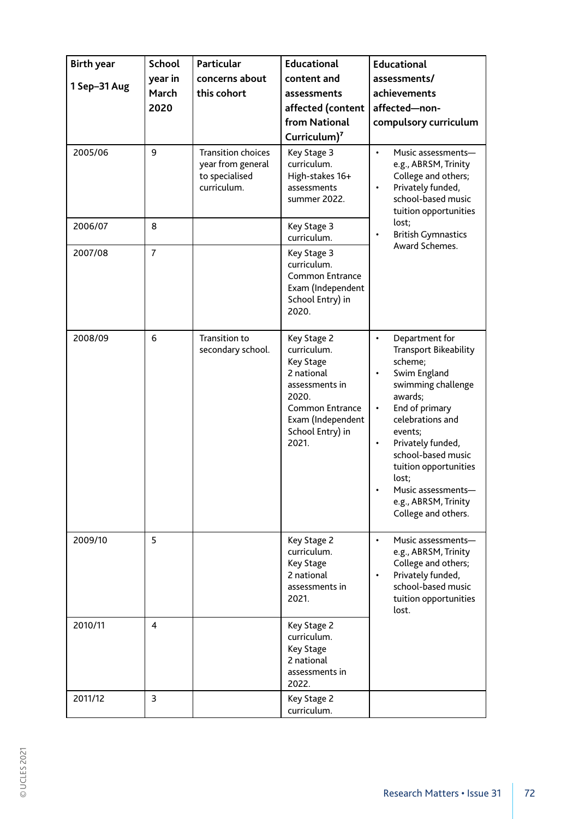| <b>Birth year</b> | <b>School</b>  | <b>Particular</b>                                                               | <b>Educational</b>                                                                                                                                                  | <b>Educational</b>                                                                                                                                                                                                                                                                                                                                                |
|-------------------|----------------|---------------------------------------------------------------------------------|---------------------------------------------------------------------------------------------------------------------------------------------------------------------|-------------------------------------------------------------------------------------------------------------------------------------------------------------------------------------------------------------------------------------------------------------------------------------------------------------------------------------------------------------------|
| 1 Sep-31 Aug      | year in        | concerns about                                                                  | content and                                                                                                                                                         | assessments/                                                                                                                                                                                                                                                                                                                                                      |
|                   | March          | this cohort                                                                     | assessments                                                                                                                                                         | achievements                                                                                                                                                                                                                                                                                                                                                      |
|                   | 2020           |                                                                                 | affected (content                                                                                                                                                   | affected-non-                                                                                                                                                                                                                                                                                                                                                     |
|                   |                |                                                                                 | from National                                                                                                                                                       | compulsory curriculum                                                                                                                                                                                                                                                                                                                                             |
|                   |                |                                                                                 | Curriculum $)^7$                                                                                                                                                    |                                                                                                                                                                                                                                                                                                                                                                   |
| 2005/06           | 9              | <b>Transition choices</b><br>year from general<br>to specialised<br>curriculum. | Key Stage 3<br>curriculum.<br>High-stakes 16+<br>assessments<br>summer 2022.                                                                                        | Music assessments-<br>$\bullet$<br>e.g., ABRSM, Trinity<br>College and others;<br>Privately funded,<br>$\bullet$<br>school-based music<br>tuition opportunities                                                                                                                                                                                                   |
| 2006/07           | 8              |                                                                                 | Key Stage 3<br>curriculum.                                                                                                                                          | lost;<br><b>British Gymnastics</b>                                                                                                                                                                                                                                                                                                                                |
| 2007/08           | $\overline{7}$ |                                                                                 | Key Stage 3<br>curriculum.<br><b>Common Entrance</b><br>Exam (Independent<br>School Entry) in<br>2020.                                                              | Award Schemes.                                                                                                                                                                                                                                                                                                                                                    |
| 2008/09           | 6              | <b>Transition to</b><br>secondary school.                                       | Key Stage 2<br>curriculum.<br><b>Key Stage</b><br>2 national<br>assessments in<br>2020.<br><b>Common Entrance</b><br>Exam (Independent<br>School Entry) in<br>2021. | Department for<br>$\bullet$<br><b>Transport Bikeability</b><br>scheme;<br>Swim England<br>$\bullet$<br>swimming challenge<br>awards;<br>End of primary<br>$\bullet$<br>celebrations and<br>events;<br>Privately funded,<br>$\bullet$<br>school-based music<br>tuition opportunities<br>lost;<br>Music assessments-<br>e.g., ABRSM, Trinity<br>College and others. |
| 2009/10           | 5              |                                                                                 | Key Stage 2<br>curriculum.<br>Key Stage<br>2 national<br>assessments in<br>2021.                                                                                    | $\bullet$<br>Music assessments-<br>e.g., ABRSM, Trinity<br>College and others;<br>Privately funded,<br>school-based music<br>tuition opportunities<br>lost.                                                                                                                                                                                                       |
| 2010/11           | 4              |                                                                                 | Key Stage 2<br>curriculum.<br><b>Key Stage</b><br>2 national<br>assessments in<br>2022.                                                                             |                                                                                                                                                                                                                                                                                                                                                                   |
| 2011/12           | 3              |                                                                                 | Key Stage 2<br>curriculum.                                                                                                                                          |                                                                                                                                                                                                                                                                                                                                                                   |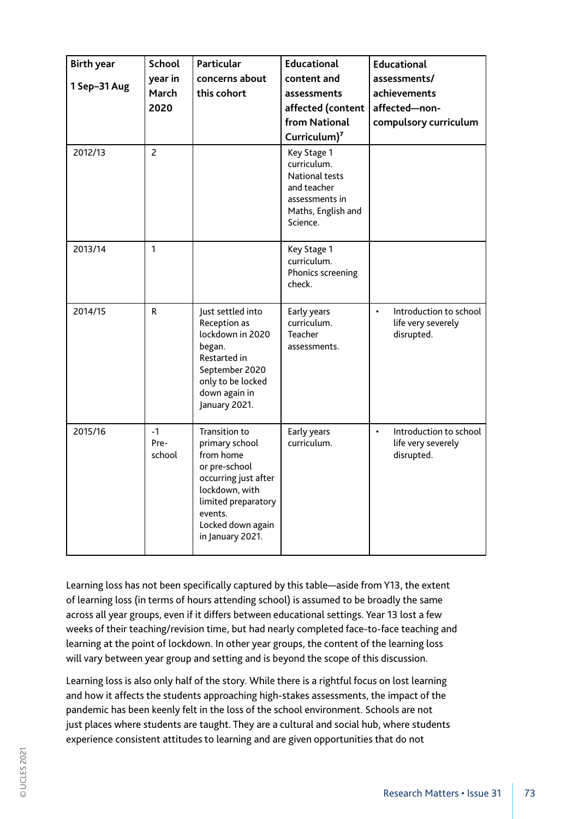| <b>Birth year</b><br>1 Sep-31 Aug | <b>School</b><br>year in<br>March<br>2020 | <b>Particular</b><br>concerns about<br>this cohort                                                                                                                                 | <b>Educational</b><br>content and<br>assessments<br>affected (content<br>from National<br>Curriculum) <sup>7</sup> | <b>Educational</b><br>assessments/<br>achievements<br>affected-non-<br>compulsory curriculum |
|-----------------------------------|-------------------------------------------|------------------------------------------------------------------------------------------------------------------------------------------------------------------------------------|--------------------------------------------------------------------------------------------------------------------|----------------------------------------------------------------------------------------------|
| 2012/13                           | $\overline{c}$                            |                                                                                                                                                                                    | Key Stage 1<br>curriculum.<br>National tests<br>and teacher<br>assessments in<br>Maths, English and<br>Science.    |                                                                                              |
| 2013/14                           | $\mathbf{1}$                              |                                                                                                                                                                                    | Key Stage 1<br>curriculum.<br>Phonics screening<br>check.                                                          |                                                                                              |
| 2014/15                           | R                                         | Just settled into<br>Reception as<br>lockdown in 2020<br>began.<br>Restarted in<br>September 2020<br>only to be locked<br>down again in<br>January 2021.                           | Early years<br>curriculum.<br>Teacher<br>assessments.                                                              | Introduction to school<br>$\bullet$<br>life very severely<br>disrupted.                      |
| 2015/16                           | $-1$<br>Pre-<br>school                    | Transition to<br>primary school<br>from home<br>or pre-school<br>occurring just after<br>lockdown, with<br>limited preparatory<br>events.<br>Locked down again<br>in January 2021. | Early years<br>curriculum.                                                                                         | Introduction to school<br>$\bullet$<br>life very severely<br>disrupted.                      |

Learning loss has not been specifically captured by this table—aside from Y13, the extent of learning loss (in terms of hours attending school) is assumed to be broadly the same across all year groups, even if it differs between educational settings. Year 13 lost a few weeks of their teaching/revision time, but had nearly completed face-to-face teaching and learning at the point of lockdown. In other year groups, the content of the learning loss will vary between year group and setting and is beyond the scope of this discussion.

Learning loss is also only half of the story. While there is a rightful focus on lost learning and how it affects the students approaching high-stakes assessments, the impact of the pandemic has been keenly felt in the loss of the school environment. Schools are not just places where students are taught. They are a cultural and social hub, where students experience consistent attitudes to learning and are given opportunities that do not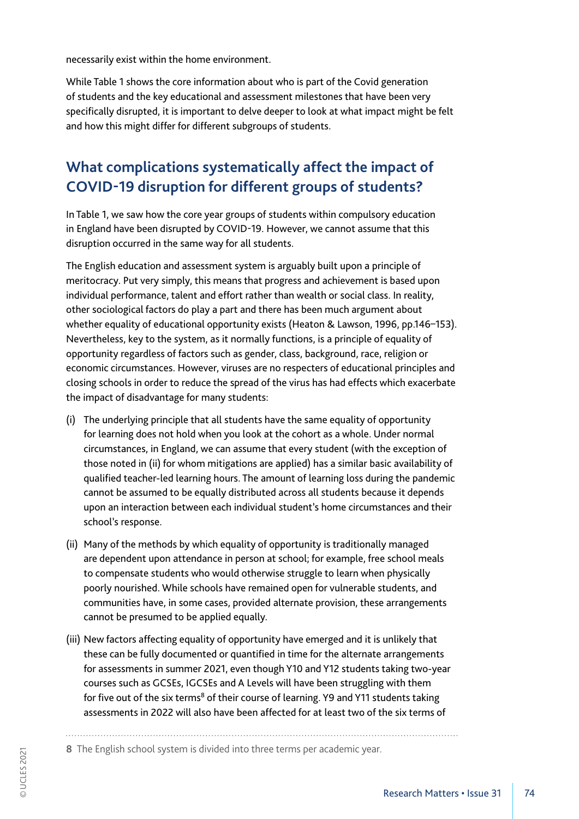necessarily exist within the home environment.

While Table 1 shows the core information about who is part of the Covid generation of students and the key educational and assessment milestones that have been very specifically disrupted, it is important to delve deeper to look at what impact might be felt and how this might differ for different subgroups of students.

# **What complications systematically affect the impact of COVID-19 disruption for different groups of students?**

In Table 1, we saw how the core year groups of students within compulsory education in England have been disrupted by COVID-19. However, we cannot assume that this disruption occurred in the same way for all students.

The English education and assessment system is arguably built upon a principle of meritocracy. Put very simply, this means that progress and achievement is based upon individual performance, talent and effort rather than wealth or social class. In reality, other sociological factors do play a part and there has been much argument about whether equality of educational opportunity exists (Heaton & Lawson, 1996, pp.146–153). Nevertheless, key to the system, as it normally functions, is a principle of equality of opportunity regardless of factors such as gender, class, background, race, religion or economic circumstances. However, viruses are no respecters of educational principles and closing schools in order to reduce the spread of the virus has had effects which exacerbate the impact of disadvantage for many students:

- (i) The underlying principle that all students have the same equality of opportunity for learning does not hold when you look at the cohort as a whole. Under normal circumstances, in England, we can assume that every student (with the exception of those noted in (ii) for whom mitigations are applied) has a similar basic availability of qualified teacher-led learning hours. The amount of learning loss during the pandemic cannot be assumed to be equally distributed across all students because it depends upon an interaction between each individual student's home circumstances and their school's response.
- (ii) Many of the methods by which equality of opportunity is traditionally managed are dependent upon attendance in person at school; for example, free school meals to compensate students who would otherwise struggle to learn when physically poorly nourished. While schools have remained open for vulnerable students, and communities have, in some cases, provided alternate provision, these arrangements cannot be presumed to be applied equally.
- (iii) New factors affecting equality of opportunity have emerged and it is unlikely that these can be fully documented or quantified in time for the alternate arrangements for assessments in summer 2021, even though Y10 and Y12 students taking two-year courses such as GCSEs, IGCSEs and A Levels will have been struggling with them for five out of the six terms<sup>8</sup> of their course of learning. Y9 and Y11 students taking assessments in 2022 will also have been affected for at least two of the six terms of
- 8 The English school system is divided into three terms per academic year.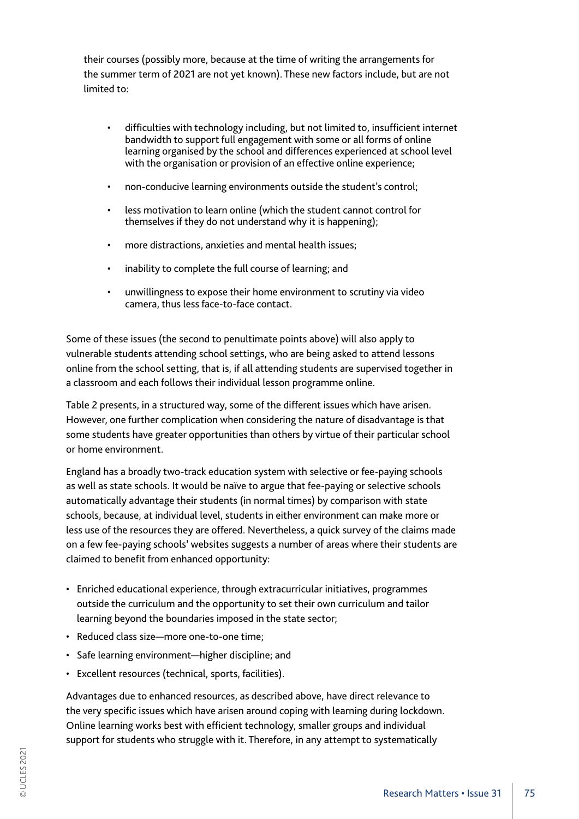their courses (possibly more, because at the time of writing the arrangements for the summer term of 2021 are not yet known). These new factors include, but are not limited to:

- difficulties with technology including, but not limited to, insufficient internet bandwidth to support full engagement with some or all forms of online learning organised by the school and differences experienced at school level with the organisation or provision of an effective online experience;
- non-conducive learning environments outside the student's control;
- less motivation to learn online (which the student cannot control for themselves if they do not understand why it is happening);
- more distractions, anxieties and mental health issues;
- inability to complete the full course of learning; and
- unwillingness to expose their home environment to scrutiny via video camera, thus less face-to-face contact.

Some of these issues (the second to penultimate points above) will also apply to vulnerable students attending school settings, who are being asked to attend lessons online from the school setting, that is, if all attending students are supervised together in a classroom and each follows their individual lesson programme online.

Table 2 presents, in a structured way, some of the different issues which have arisen. However, one further complication when considering the nature of disadvantage is that some students have greater opportunities than others by virtue of their particular school or home environment.

England has a broadly two-track education system with selective or fee-paying schools as well as state schools. It would be naïve to argue that fee-paying or selective schools automatically advantage their students (in normal times) by comparison with state schools, because, at individual level, students in either environment can make more or less use of the resources they are offered. Nevertheless, a quick survey of the claims made on a few fee-paying schools' websites suggests a number of areas where their students are claimed to benefit from enhanced opportunity:

- Enriched educational experience, through extracurricular initiatives, programmes outside the curriculum and the opportunity to set their own curriculum and tailor learning beyond the boundaries imposed in the state sector;
- Reduced class size—more one-to-one time;
- Safe learning environment—higher discipline; and
- Excellent resources (technical, sports, facilities).

Advantages due to enhanced resources, as described above, have direct relevance to the very specific issues which have arisen around coping with learning during lockdown. Online learning works best with efficient technology, smaller groups and individual support for students who struggle with it. Therefore, in any attempt to systematically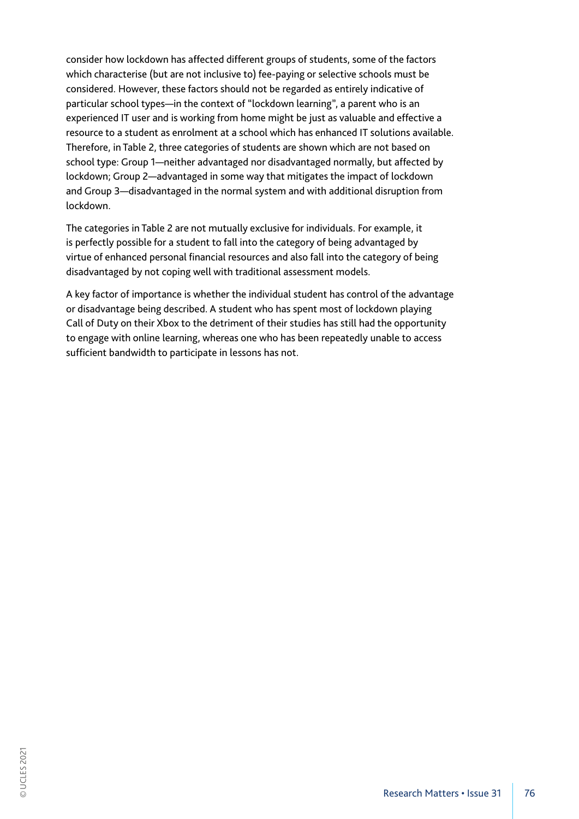consider how lockdown has affected different groups of students, some of the factors which characterise (but are not inclusive to) fee-paying or selective schools must be considered. However, these factors should not be regarded as entirely indicative of particular school types—in the context of "lockdown learning", a parent who is an experienced IT user and is working from home might be just as valuable and effective a resource to a student as enrolment at a school which has enhanced IT solutions available. Therefore, in Table 2, three categories of students are shown which are not based on school type: Group 1—neither advantaged nor disadvantaged normally, but affected by lockdown; Group 2—advantaged in some way that mitigates the impact of lockdown and Group 3—disadvantaged in the normal system and with additional disruption from lockdown.

The categories in Table 2 are not mutually exclusive for individuals. For example, it is perfectly possible for a student to fall into the category of being advantaged by virtue of enhanced personal financial resources and also fall into the category of being disadvantaged by not coping well with traditional assessment models.

A key factor of importance is whether the individual student has control of the advantage or disadvantage being described. A student who has spent most of lockdown playing Call of Duty on their Xbox to the detriment of their studies has still had the opportunity to engage with online learning, whereas one who has been repeatedly unable to access sufficient bandwidth to participate in lessons has not.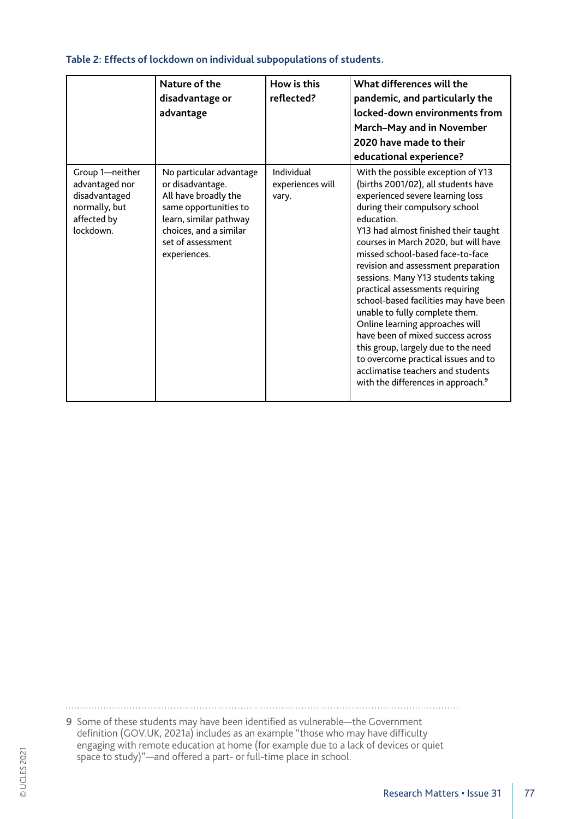| Table 2: Effects of lockdown on individual subpopulations of students. |  |  |  |  |
|------------------------------------------------------------------------|--|--|--|--|
|------------------------------------------------------------------------|--|--|--|--|

|                                                                                                 | Nature of the<br>disadvantage or<br>advantage                                                                                                                                         | How is this<br>reflected?               | What differences will the<br>pandemic, and particularly the<br>locked-down environments from<br>March-May and in November<br>2020 have made to their<br>educational experience?                                                                                                                                                                                                                                                                                                                                                                                                                                                                                                                                           |
|-------------------------------------------------------------------------------------------------|---------------------------------------------------------------------------------------------------------------------------------------------------------------------------------------|-----------------------------------------|---------------------------------------------------------------------------------------------------------------------------------------------------------------------------------------------------------------------------------------------------------------------------------------------------------------------------------------------------------------------------------------------------------------------------------------------------------------------------------------------------------------------------------------------------------------------------------------------------------------------------------------------------------------------------------------------------------------------------|
| Group 1-neither<br>advantaged nor<br>disadvantaged<br>normally, but<br>affected by<br>lockdown. | No particular advantage<br>or disadvantage.<br>All have broadly the<br>same opportunities to<br>learn, similar pathway<br>choices, and a similar<br>set of assessment<br>experiences. | Individual<br>experiences will<br>vary. | With the possible exception of Y13<br>(births 2001/02), all students have<br>experienced severe learning loss<br>during their compulsory school<br>education.<br>Y13 had almost finished their taught<br>courses in March 2020, but will have<br>missed school-based face-to-face<br>revision and assessment preparation<br>sessions. Many Y13 students taking<br>practical assessments requiring<br>school-based facilities may have been<br>unable to fully complete them.<br>Online learning approaches will<br>have been of mixed success across<br>this group, largely due to the need<br>to overcome practical issues and to<br>acclimatise teachers and students<br>with the differences in approach. <sup>9</sup> |

9 Some of these students may have been identified as vulnerable—the Government definition (GOV.UK, 2021a) includes as an example "those who may have difficulty engaging with remote education at home (for example due to a lack of devices or quiet space to study)"—and offered a part- or full-time place in school.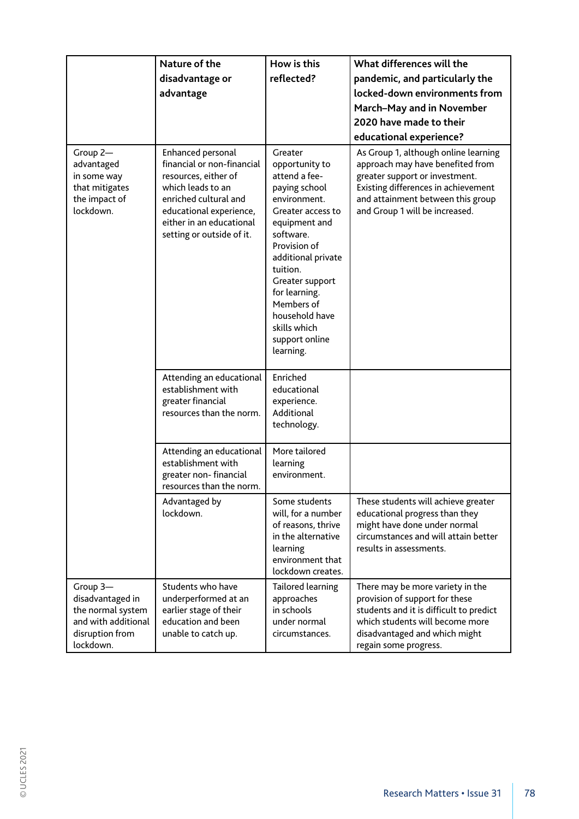|                                                                                                          | Nature of the<br>disadvantage or<br>advantage                                                                                                                                                             | How is this<br>reflected?                                                                                                                                                                                                                                                                           | What differences will the<br>pandemic, and particularly the<br>locked-down environments from<br>March-May and in November<br>2020 have made to their<br>educational experience?                                          |
|----------------------------------------------------------------------------------------------------------|-----------------------------------------------------------------------------------------------------------------------------------------------------------------------------------------------------------|-----------------------------------------------------------------------------------------------------------------------------------------------------------------------------------------------------------------------------------------------------------------------------------------------------|--------------------------------------------------------------------------------------------------------------------------------------------------------------------------------------------------------------------------|
| Group 2-<br>advantaged<br>in some way<br>that mitigates<br>the impact of<br>lockdown.                    | Enhanced personal<br>financial or non-financial<br>resources, either of<br>which leads to an<br>enriched cultural and<br>educational experience,<br>either in an educational<br>setting or outside of it. | Greater<br>opportunity to<br>attend a fee-<br>paying school<br>environment.<br>Greater access to<br>equipment and<br>software.<br>Provision of<br>additional private<br>tuition.<br>Greater support<br>for learning.<br>Members of<br>household have<br>skills which<br>support online<br>learning. | As Group 1, although online learning<br>approach may have benefited from<br>greater support or investment.<br>Existing differences in achievement<br>and attainment between this group<br>and Group 1 will be increased. |
|                                                                                                          | Attending an educational<br>establishment with<br>greater financial<br>resources than the norm.                                                                                                           | Enriched<br>educational<br>experience.<br>Additional<br>technology.                                                                                                                                                                                                                                 |                                                                                                                                                                                                                          |
|                                                                                                          | Attending an educational<br>establishment with<br>greater non-financial<br>resources than the norm.                                                                                                       | More tailored<br>learning<br>environment.                                                                                                                                                                                                                                                           |                                                                                                                                                                                                                          |
|                                                                                                          | Advantaged by<br>lockdown.                                                                                                                                                                                | Some students<br>will, for a number<br>of reasons, thrive<br>in the alternative<br>learning<br>environment that<br>lockdown creates.                                                                                                                                                                | These students will achieve greater<br>educational progress than they<br>might have done under normal<br>circumstances and will attain better<br>results in assessments.                                                 |
| Group 3-<br>disadvantaged in<br>the normal system<br>and with additional<br>disruption from<br>lockdown. | Students who have<br>underperformed at an<br>earlier stage of their<br>education and been<br>unable to catch up.                                                                                          | Tailored learning<br>approaches<br>in schools<br>under normal<br>circumstances.                                                                                                                                                                                                                     | There may be more variety in the<br>provision of support for these<br>students and it is difficult to predict<br>which students will become more<br>disadvantaged and which might<br>regain some progress.               |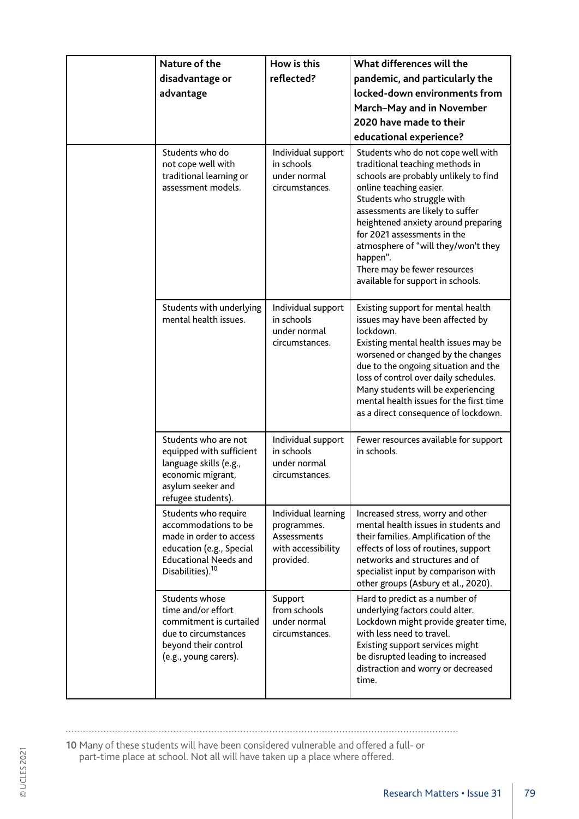| Nature of the<br>disadvantage or<br>advantage                                                                                                                       | How is this<br>reflected?                                                            | What differences will the<br>pandemic, and particularly the<br>locked-down environments from<br>March-May and in November<br>2020 have made to their<br>educational experience?                                                                                                                                                                                                                           |
|---------------------------------------------------------------------------------------------------------------------------------------------------------------------|--------------------------------------------------------------------------------------|-----------------------------------------------------------------------------------------------------------------------------------------------------------------------------------------------------------------------------------------------------------------------------------------------------------------------------------------------------------------------------------------------------------|
| Students who do<br>not cope well with<br>traditional learning or<br>assessment models.                                                                              | Individual support<br>in schools<br>under normal<br>circumstances.                   | Students who do not cope well with<br>traditional teaching methods in<br>schools are probably unlikely to find<br>online teaching easier.<br>Students who struggle with<br>assessments are likely to suffer<br>heightened anxiety around preparing<br>for 2021 assessments in the<br>atmosphere of "will they/won't they<br>happen".<br>There may be fewer resources<br>available for support in schools. |
| Students with underlying<br>mental health issues.                                                                                                                   | Individual support<br>in schools<br>under normal<br>circumstances.                   | Existing support for mental health<br>issues may have been affected by<br>lockdown.<br>Existing mental health issues may be<br>worsened or changed by the changes<br>due to the ongoing situation and the<br>loss of control over daily schedules.<br>Many students will be experiencing<br>mental health issues for the first time<br>as a direct consequence of lockdown.                               |
| Students who are not<br>equipped with sufficient<br>language skills (e.g.,<br>economic migrant,<br>asylum seeker and<br>refugee students).                          | Individual support<br>in schools<br>under normal<br>circumstances.                   | Fewer resources available for support<br>in schools.                                                                                                                                                                                                                                                                                                                                                      |
| Students who require<br>accommodations to be<br>made in order to access<br>education (e.g., Special<br><b>Educational Needs and</b><br>Disabilities). <sup>10</sup> | Individual learning<br>programmes.<br>Assessments<br>with accessibility<br>provided. | Increased stress, worry and other<br>mental health issues in students and<br>their families. Amplification of the<br>effects of loss of routines, support<br>networks and structures and of<br>specialist input by comparison with<br>other groups (Asbury et al., 2020).                                                                                                                                 |
| Students whose<br>time and/or effort<br>commitment is curtailed<br>due to circumstances<br>beyond their control<br>(e.g., young carers).                            | Support<br>from schools<br>under normal<br>circumstances.                            | Hard to predict as a number of<br>underlying factors could alter.<br>Lockdown might provide greater time,<br>with less need to travel.<br>Existing support services might<br>be disrupted leading to increased<br>distraction and worry or decreased<br>time.                                                                                                                                             |

#### 10 Many of these students will have been considered vulnerable and offered a full- or part-time place at school. Not all will have taken up a place where offered.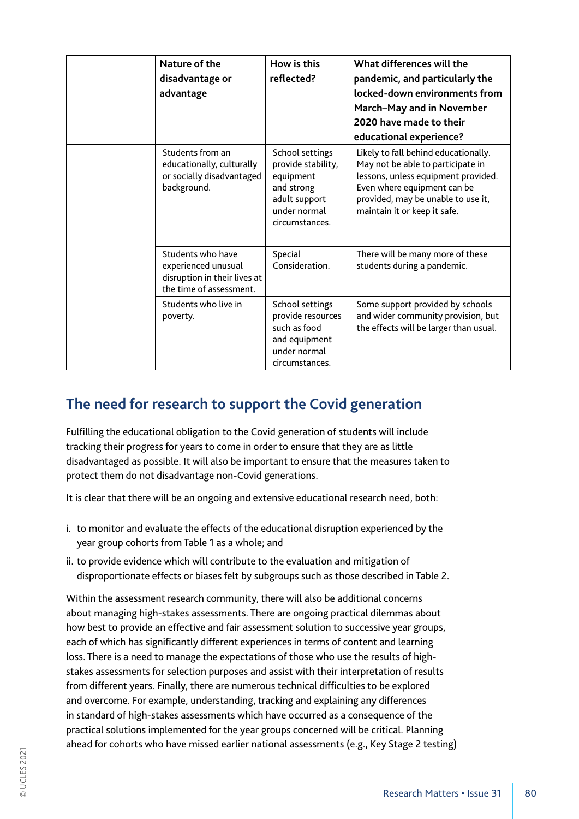| Nature of the<br>disadvantage or<br>advantage                                                       | How is this<br>reflected?                                                                                           | What differences will the<br>pandemic, and particularly the<br>locked-down environments from<br>March-May and in November<br>2020 have made to their<br>educational experience?                                       |
|-----------------------------------------------------------------------------------------------------|---------------------------------------------------------------------------------------------------------------------|-----------------------------------------------------------------------------------------------------------------------------------------------------------------------------------------------------------------------|
| Students from an<br>educationally, culturally<br>or socially disadvantaged<br>background.           | School settings<br>provide stability,<br>equipment<br>and strong<br>adult support<br>under normal<br>circumstances. | Likely to fall behind educationally.<br>May not be able to participate in<br>lessons, unless equipment provided.<br>Even where equipment can be<br>provided, may be unable to use it,<br>maintain it or keep it safe. |
| Students who have<br>experienced unusual<br>disruption in their lives at<br>the time of assessment. | Special<br>Consideration.                                                                                           | There will be many more of these<br>students during a pandemic.                                                                                                                                                       |
| Students who live in<br>poverty.                                                                    | School settings<br>provide resources<br>such as food<br>and equipment<br>under normal<br>circumstances.             | Some support provided by schools<br>and wider community provision, but<br>the effects will be larger than usual.                                                                                                      |

# **The need for research to support the Covid generation**

Fulfilling the educational obligation to the Covid generation of students will include tracking their progress for years to come in order to ensure that they are as little disadvantaged as possible. It will also be important to ensure that the measures taken to protect them do not disadvantage non-Covid generations.

It is clear that there will be an ongoing and extensive educational research need, both:

- i. to monitor and evaluate the effects of the educational disruption experienced by the year group cohorts from Table 1 as a whole; and
- ii. to provide evidence which will contribute to the evaluation and mitigation of disproportionate effects or biases felt by subgroups such as those described in Table 2.

Within the assessment research community, there will also be additional concerns about managing high-stakes assessments. There are ongoing practical dilemmas about how best to provide an effective and fair assessment solution to successive year groups, each of which has significantly different experiences in terms of content and learning loss. There is a need to manage the expectations of those who use the results of highstakes assessments for selection purposes and assist with their interpretation of results from different years. Finally, there are numerous technical difficulties to be explored and overcome. For example, understanding, tracking and explaining any differences in standard of high-stakes assessments which have occurred as a consequence of the practical solutions implemented for the year groups concerned will be critical. Planning ahead for cohorts who have missed earlier national assessments (e.g., Key Stage 2 testing)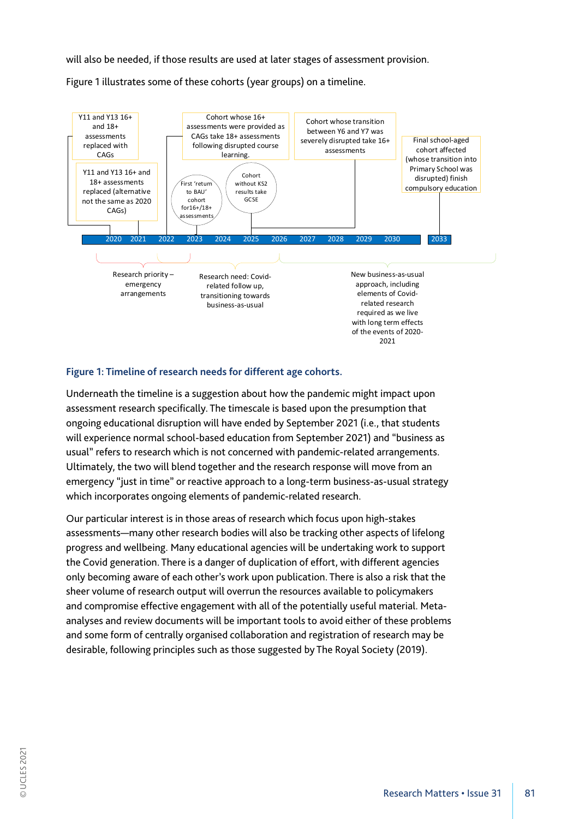will also be needed, if those results are used at later stages of assessment provision.

Figure 1 illustrates some of these cohorts (year groups) on a timeline.



#### **Figure 1: Timeline of research needs for different age cohorts.**

Underneath the timeline is a suggestion about how the pandemic might impact upon assessment research specifically. The timescale is based upon the presumption that ongoing educational disruption will have ended by September 2021 (i.e., that students will experience normal school-based education from September 2021) and "business as usual" refers to research which is not concerned with pandemic-related arrangements. Ultimately, the two will blend together and the research response will move from an emergency "just in time" or reactive approach to a long-term business-as-usual strategy which incorporates ongoing elements of pandemic-related research.

Our particular interest is in those areas of research which focus upon high-stakes assessments—many other research bodies will also be tracking other aspects of lifelong progress and wellbeing. Many educational agencies will be undertaking work to support the Covid generation. There is a danger of duplication of effort, with different agencies only becoming aware of each other's work upon publication. There is also a risk that the sheer volume of research output will overrun the resources available to policymakers and compromise effective engagement with all of the potentially useful material. Metaanalyses and review documents will be important tools to avoid either of these problems and some form of centrally organised collaboration and registration of research may be desirable, following principles such as those suggested by The Royal Society (2019).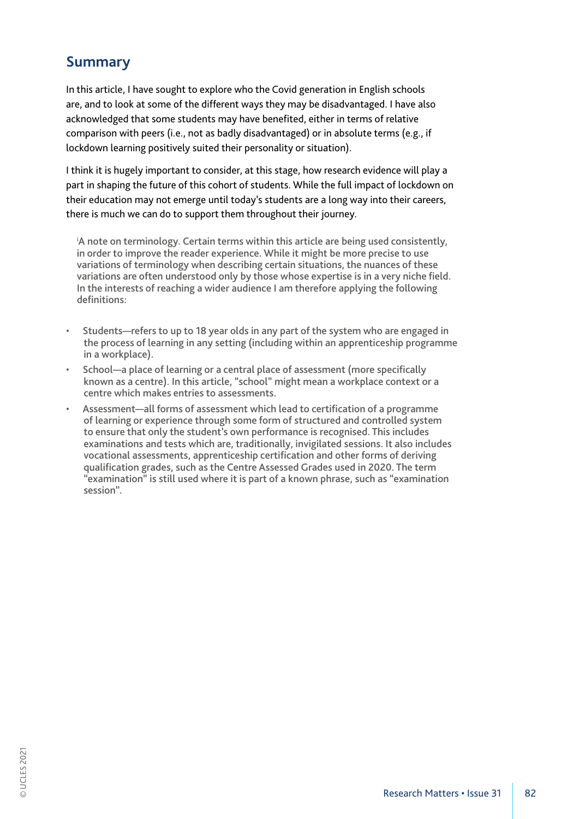## **Summary**

In this article, I have sought to explore who the Covid generation in English schools are, and to look at some of the different ways they may be disadvantaged. I have also acknowledged that some students may have benefited, either in terms of relative comparison with peers (i.e., not as badly disadvantaged) or in absolute terms (e.g., if lockdown learning positively suited their personality or situation).

I think it is hugely important to consider, at this stage, how research evidence will play a part in shaping the future of this cohort of students. While the full impact of lockdown on their education may not emerge until today's students are a long way into their careers, there is much we can do to support them throughout their journey.

 iA note on terminology. Certain terms within this article are being used consistently, in order to improve the reader experience. While it might be more precise to use variations of terminology when describing certain situations, the nuances of these variations are often understood only by those whose expertise is in a very niche field. In the interests of reaching a wider audience I am therefore applying the following definitions:

- Students—refers to up to 18 year olds in any part of the system who are engaged in the process of learning in any setting (including within an apprenticeship programme in a workplace).
- School—a place of learning or a central place of assessment (more specifically known as a centre). In this article, "school" might mean a workplace context or a centre which makes entries to assessments.
- Assessment—all forms of assessment which lead to certification of a programme of learning or experience through some form of structured and controlled system to ensure that only the student's own performance is recognised. This includes examinations and tests which are, traditionally, invigilated sessions. It also includes vocational assessments, apprenticeship certification and other forms of deriving qualification grades, such as the Centre Assessed Grades used in 2020. The term "examination" is still used where it is part of a known phrase, such as "examination session".